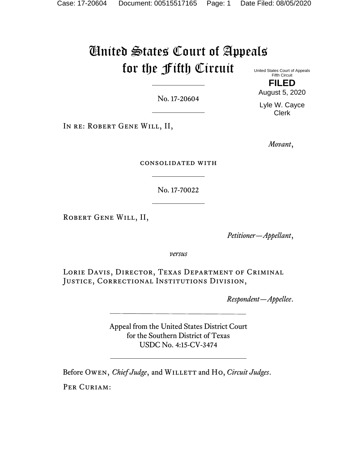# United States Court of Appeals for the Fifth Circuit

No. 17-20604

IN RE: ROBERT GENE WILL, II,

*Movant*,

consolidated with

No. 17-70022

Robert Gene Will, II,

*Petitioner—Appellant*,

*versus*

Lorie Davis, Director, Texas Department of Criminal JUSTICE, CORRECTIONAL INSTITUTIONS DIVISION,

*Respondent—Appellee*.

Appeal from the United States District Court for the Southern District of Texas USDC No. 4:15-CV-3474

Before Owen, *Chief Judge*, and WILLETT and Ho, *Circuit Judges*.

PER CURIAM:

United States Court of Appeals Fifth Circuit

**FILED**

August 5, 2020

Lyle W. Cayce Clerk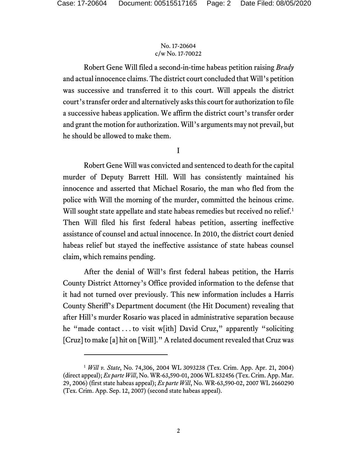Robert Gene Will filed a second-in-time habeas petition raising *Brady* and actual innocence claims. The district court concluded that Will's petition was successive and transferred it to this court. Will appeals the district court's transfer order and alternatively asks this court for authorization to file a successive habeas application. We affirm the district court's transfer order and grant the motion for authorization. Will's arguments may not prevail, but he should be allowed to make them.

I

Robert Gene Will was convicted and sentenced to death for the capital murder of Deputy Barrett Hill. Will has consistently maintained his innocence and asserted that Michael Rosario, the man who fled from the police with Will the morning of the murder, committed the heinous crime. Will sought state appellate and state habeas remedies but received no relief.<sup>[1](#page-1-0)</sup> Then Will filed his first federal habeas petition, asserting ineffective assistance of counsel and actual innocence. In 2010, the district court denied habeas relief but stayed the ineffective assistance of state habeas counsel claim, which remains pending.

After the denial of Will's first federal habeas petition, the Harris County District Attorney's Office provided information to the defense that it had not turned over previously. This new information includes a Harris County Sheriff's Department document (the Hit Document) revealing that after Hill's murder Rosario was placed in administrative separation because he "made contact . . . to visit w[ith] David Cruz," apparently "soliciting [Cruz] to make [a] hit on [Will]." A related document revealed that Cruz was

<span id="page-1-0"></span><sup>1</sup> *Will v. State*, No. 74,306, 2004 WL 3093238 (Tex. Crim. App. Apr. 21, 2004) (direct appeal); *Ex parte Will*, No. WR-63,590-01, 2006 WL 832456 (Tex. Crim. App. Mar. 29, 2006) (first state habeas appeal); *Ex parte Will*, No. WR-63,590-02, 2007 WL 2660290 (Tex. Crim. App. Sep. 12, 2007) (second state habeas appeal).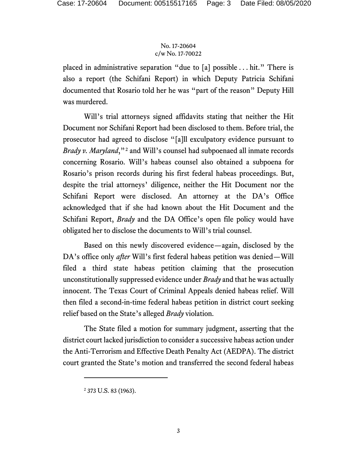placed in administrative separation "due to [a] possible . . . hit." There is also a report (the Schifani Report) in which Deputy Patricia Schifani documented that Rosario told her he was "part of the reason" Deputy Hill was murdered.

Will's trial attorneys signed affidavits stating that neither the Hit Document nor Schifani Report had been disclosed to them. Before trial, the prosecutor had agreed to disclose "[a]ll exculpatory evidence pursuant to *Brady v. Maryland*,"<sup>[2](#page-2-0)</sup> and Will's counsel had subpoenaed all inmate records concerning Rosario. Will's habeas counsel also obtained a subpoena for Rosario's prison records during his first federal habeas proceedings. But, despite the trial attorneys' diligence, neither the Hit Document nor the Schifani Report were disclosed. An attorney at the DA's Office acknowledged that if she had known about the Hit Document and the Schifani Report, *Brady* and the DA Office's open file policy would have obligated her to disclose the documents to Will's trial counsel.

Based on this newly discovered evidence—again, disclosed by the DA's office only *after* Will's first federal habeas petition was denied—Will filed a third state habeas petition claiming that the prosecution unconstitutionally suppressed evidence under *Brady* and that he was actually innocent. The Texas Court of Criminal Appeals denied habeas relief. Will then filed a second-in-time federal habeas petition in district court seeking relief based on the State's alleged *Brady* violation.

The State filed a motion for summary judgment, asserting that the district court lacked jurisdiction to consider a successive habeas action under the Anti-Terrorism and Effective Death Penalty Act (AEDPA). The district court granted the State's motion and transferred the second federal habeas

<span id="page-2-0"></span><sup>2</sup> 373 U.S. 83 (1963).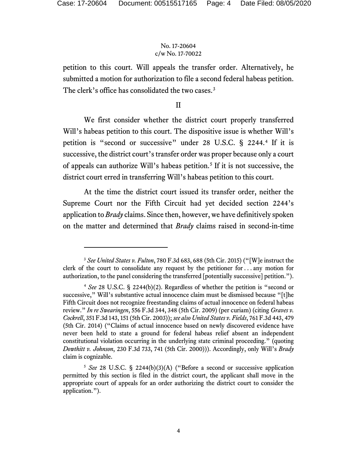petition to this court. Will appeals the transfer order. Alternatively, he submitted a motion for authorization to file a second federal habeas petition. The clerk's office has consolidated the two cases.<sup>[3](#page-3-0)</sup>

II

We first consider whether the district court properly transferred Will's habeas petition to this court. The dispositive issue is whether Will's petition is "second or successive" under 28 U.S.C. § 2244.[4](#page-3-1) If it is successive, the district court's transfer order was proper because only a court of appeals can authorize Will's habeas petition.[5](#page-3-2) If it is not successive, the district court erred in transferring Will's habeas petition to this court.

At the time the district court issued its transfer order, neither the Supreme Court nor the Fifth Circuit had yet decided section 2244's application to *Brady* claims. Since then, however, we have definitively spoken on the matter and determined that *Brady* claims raised in second-in-time

<span id="page-3-0"></span><sup>3</sup> *See United States v. Fulton*, 780 F.3d 683, 688 (5th Cir. 2015) ("[W]e instruct the clerk of the court to consolidate any request by the petitioner for . . . any motion for authorization, to the panel considering the transferred [potentially successive] petition.").

<span id="page-3-1"></span><sup>4</sup> *See* 28 U.S.C. § 2244(b)(2). Regardless of whether the petition is "second or successive," Will's substantive actual innocence claim must be dismissed because "[t]he Fifth Circuit does not recognize freestanding claims of actual innocence on federal habeas review." *In re Swearingen*, 556 F.3d 344, 348 (5th Cir. 2009) (per curiam) (citing *Graves v. Cockrell*, 351 F.3d 143, 151 (5th Cir. 2003)); *see also United States v. Fields*, 761 F.3d 443, 479 (5th Cir. 2014) ("Claims of actual innocence based on newly discovered evidence have never been held to state a ground for federal habeas relief absent an independent constitutional violation occurring in the underlying state criminal proceeding." (quoting *Dowthitt v. Johnson*, 230 F.3d 733, 741 (5th Cir. 2000))). Accordingly, only Will's *Brady* claim is cognizable.

<span id="page-3-2"></span><sup>5</sup> *See* 28 U.S.C. § 2244(b)(3)(A) ("Before a second or successive application permitted by this section is filed in the district court, the applicant shall move in the appropriate court of appeals for an order authorizing the district court to consider the application.").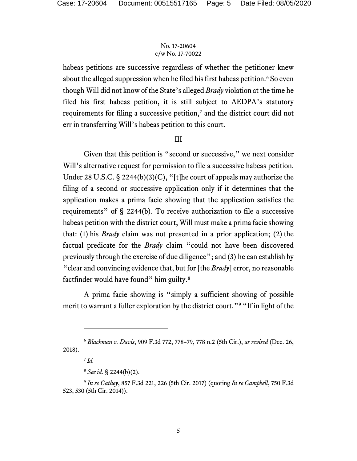habeas petitions are successive regardless of whether the petitioner knew about the alleged suppression when he filed his first habeas petition.<sup>[6](#page-4-0)</sup> So even though Will did not know of the State's alleged *Brady* violation at the time he filed his first habeas petition, it is still subject to AEDPA's statutory requirements for filing a successive petition,<sup>[7](#page-4-1)</sup> and the district court did not err in transferring Will's habeas petition to this court.

# III

Given that this petition is "second or successive," we next consider Will's alternative request for permission to file a successive habeas petition. Under 28 U.S.C. § 2244(b)(3)(C), "[t]he court of appeals may authorize the filing of a second or successive application only if it determines that the application makes a prima facie showing that the application satisfies the requirements" of § 2244(b). To receive authorization to file a successive habeas petition with the district court, Will must make a prima facie showing that: (1) his *Brady* claim was not presented in a prior application; (2) the factual predicate for the *Brady* claim "could not have been discovered previously through the exercise of due diligence"; and (3) he can establish by "clear and convincing evidence that, but for [the *Brady*] error, no reasonable factfinder would have found" him guilty.<sup>[8](#page-4-2)</sup>

A prima facie showing is "simply a sufficient showing of possible merit to warrant a fuller exploration by the district court."<sup>[9](#page-4-3)</sup> "If in light of the

<span id="page-4-1"></span><span id="page-4-0"></span><sup>6</sup> *Blackman v. Davis*, 909 F.3d 772, 778–79, 778 n.2 (5th Cir.), *as revised* (Dec. 26, 2018).

 $^7$  *Id.* 

<sup>8</sup> *See id.* § 2244(b)(2).

<span id="page-4-3"></span><span id="page-4-2"></span><sup>9</sup> *In re Cathey*, 857 F.3d 221, 226 (5th Cir. 2017) (quoting *In re Campbell*, 750 F.3d 523, 530 (5th Cir. 2014)).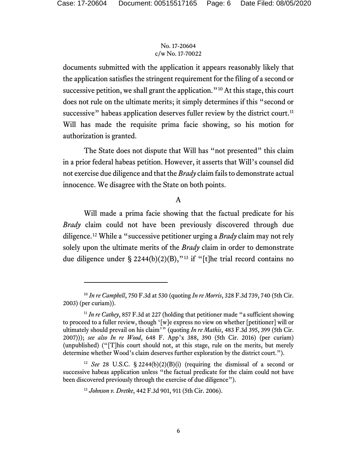documents submitted with the application it appears reasonably likely that the application satisfies the stringent requirement for the filing of a second or successive petition, we shall grant the application."<sup>[10](#page-5-0)</sup> At this stage, this court does not rule on the ultimate merits; it simply determines if this "second or successive" habeas application deserves fuller review by the district court.<sup>[11](#page-5-1)</sup> Will has made the requisite prima facie showing, so his motion for authorization is granted.

The State does not dispute that Will has "not presented" this claim in a prior federal habeas petition. However, it asserts that Will's counsel did not exercise due diligence and that the *Brady* claim fails to demonstrate actual innocence. We disagree with the State on both points.

# A

Will made a prima facie showing that the factual predicate for his *Brady* claim could not have been previously discovered through due diligence.[12](#page-5-2) While a "successive petitioner urging a *Brady* claim may not rely solely upon the ultimate merits of the *Brady* claim in order to demonstrate due diligence under § 2244(b)(2)(B),"<sup>[13](#page-5-3)</sup> if "[t]he trial record contains no

<span id="page-5-0"></span><sup>10</sup> *In re Campbell*, 750 F.3d at 530 (quoting *In re Morris*, 328 F.3d 739, 740 (5th Cir. 2003) (per curiam)).

<span id="page-5-1"></span> $11$  *In re Cathey*, 857 F.3d at 227 (holding that petitioner made "a sufficient showing to proceed to a fuller review, though '[w]e express no view on whether [petitioner] will or ultimately should prevail on his claim'" (quoting *In re Mathis*, 483 F.3d 395, 399 (5th Cir. 2007))); *see also In re Wood*, 648 F. App'x 388, 390 (5th Cir. 2016) (per curiam) (unpublished) ("[T]his court should not, at this stage, rule on the merits, but merely determine whether Wood's claim deserves further exploration by the district court.").

<span id="page-5-3"></span><span id="page-5-2"></span><sup>&</sup>lt;sup>12</sup> *See* 28 U.S.C. § 2244(b)(2)(B)(i) (requiring the dismissal of a second or successive habeas application unless "the factual predicate for the claim could not have been discovered previously through the exercise of due diligence").

<sup>13</sup> *Johnson v. Dretke*, 442 F.3d 901, 911 (5th Cir. 2006).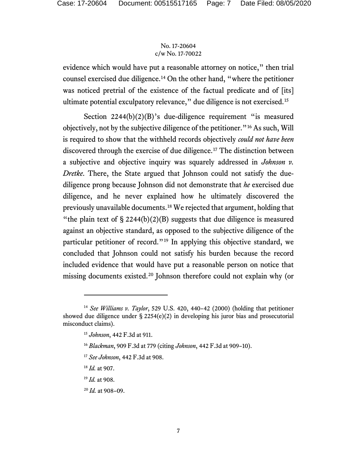evidence which would have put a reasonable attorney on notice," then trial counsel exercised due diligence.[14](#page-6-0) On the other hand, "where the petitioner was noticed pretrial of the existence of the factual predicate and of [its] ultimate potential exculpatory relevance," due diligence is not exercised.<sup>[15](#page-6-1)</sup>

Section  $2244(b)(2)(B)$ 's due-diligence requirement "is measured objectively, not by the subjective diligence of the petitioner."[16](#page-6-2) As such, Will is required to show that the withheld records objectively *could not have been* discovered through the exercise of due diligence.[17](#page-6-3) The distinction between a subjective and objective inquiry was squarely addressed in *Johnson v. Dretke*. There, the State argued that Johnson could not satisfy the duediligence prong because Johnson did not demonstrate that *he* exercised due diligence, and he never explained how he ultimately discovered the previously unavailable documents.[18](#page-6-4) We rejected that argument, holding that "the plain text of  $\S 2244(b)(2)(B)$  suggests that due diligence is measured against an objective standard, as opposed to the subjective diligence of the particular petitioner of record."[19](#page-6-5) In applying this objective standard, we concluded that Johnson could not satisfy his burden because the record included evidence that would have put a reasonable person on notice that missing documents existed.[20](#page-6-6) Johnson therefore could not explain why (or

<span id="page-6-3"></span><span id="page-6-2"></span><span id="page-6-1"></span><span id="page-6-0"></span><sup>14</sup> *See Williams v. Taylor*, 529 U.S. 420, 440–42 (2000) (holding that petitioner showed due diligence under § 2254(e)(2) in developing his juror bias and prosecutorial misconduct claims).

<sup>15</sup> *Johnson*, 442 F.3d at 911.

<sup>16</sup> *Blackman*, 909 F.3d at 779 (citing *Johnson*, 442 F.3d at 909–10).

<span id="page-6-4"></span><sup>17</sup> *See Johnson*, 442 F.3d at 908.

<sup>18</sup> *Id.* at 907.

<span id="page-6-5"></span><sup>19</sup> *Id.* at 908.

<span id="page-6-6"></span><sup>20</sup> *Id.* at 908–09.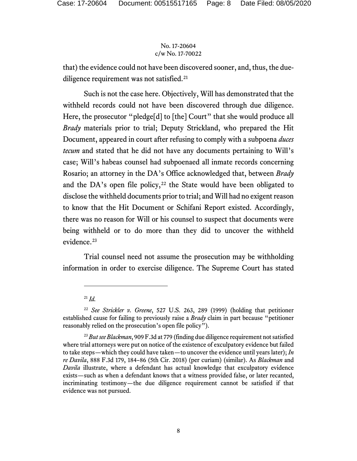that) the evidence could not have been discovered sooner, and, thus, the due-diligence requirement was not satisfied.<sup>[21](#page-7-0)</sup>

Such is not the case here. Objectively, Will has demonstrated that the withheld records could not have been discovered through due diligence. Here, the prosecutor "pledge[d] to [the] Court" that she would produce all *Brady* materials prior to trial; Deputy Strickland, who prepared the Hit Document, appeared in court after refusing to comply with a subpoena *duces tecum* and stated that he did not have any documents pertaining to Will's case; Will's habeas counsel had subpoenaed all inmate records concerning Rosario; an attorney in the DA's Office acknowledged that, between *Brady*  and the DA's open file policy,<sup>[22](#page-7-1)</sup> the State would have been obligated to disclose the withheld documents prior to trial; and Will had no exigent reason to know that the Hit Document or Schifani Report existed. Accordingly, there was no reason for Will or his counsel to suspect that documents were being withheld or to do more than they did to uncover the withheld evidence.<sup>[23](#page-7-2)</sup>

Trial counsel need not assume the prosecution may be withholding information in order to exercise diligence. The Supreme Court has stated

<sup>21</sup> *Id.*

<span id="page-7-1"></span><span id="page-7-0"></span><sup>22</sup> *See Strickler v. Greene*, 527 U.S. 263, 289 (1999) (holding that petitioner established cause for failing to previously raise a *Brady* claim in part because "petitioner reasonably relied on the prosecution's open file policy").

<span id="page-7-2"></span><sup>23</sup> *But see Blackman*, 909 F.3d at 779 (finding due diligence requirement not satisfied where trial attorneys were put on notice of the existence of exculpatory evidence but failed to take steps—which they could have taken—to uncover the evidence until years later); *In re Davila*, 888 F.3d 179, 184–86 (5th Cir. 2018) (per curiam) (similar). As *Blackman* and *Davila* illustrate, where a defendant has actual knowledge that exculpatory evidence exists—such as when a defendant knows that a witness provided false, or later recanted, incriminating testimony—the due diligence requirement cannot be satisfied if that evidence was not pursued.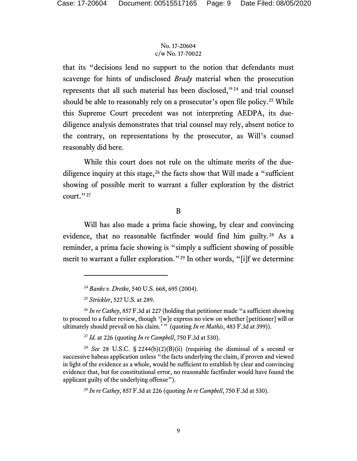that its "decisions lend no support to the notion that defendants must scavenge for hints of undisclosed *Brady* material when the prosecution represents that all such material has been disclosed,"[24](#page-8-0) and trial counsel should be able to reasonably rely on a prosecutor's open file policy.<sup>[25](#page-8-1)</sup> While this Supreme Court precedent was not interpreting AEDPA, its duediligence analysis demonstrates that trial counsel may rely, absent notice to the contrary, on representations by the prosecutor, as Will's counsel reasonably did here.

While this court does not rule on the ultimate merits of the duediligence inquiry at this stage,  $26$  the facts show that Will made a "sufficient" showing of possible merit to warrant a fuller exploration by the district court." $^{27}$  $^{27}$  $^{27}$ 

## B

Will has also made a prima facie showing, by clear and convincing evidence, that no reasonable factfinder would find him guilty.<sup>[28](#page-8-4)</sup> As a reminder, a prima facie showing is "simply a sufficient showing of possible merit to warrant a fuller exploration."[29](#page-8-5) In other words, "[i]f we determine

<sup>27</sup> *Id.* at 226 (quoting *In re Campbell*, 750 F.3d at 530).

<sup>24</sup> *Banks v. Dretke*, 540 U.S. 668, 695 (2004).

<sup>25</sup> *Strickler*, 527 U.S. at 289.

<span id="page-8-2"></span><span id="page-8-1"></span><span id="page-8-0"></span><sup>26</sup> *In re Cathey*, 857 F.3d at 227 (holding that petitioner made "a sufficient showing to proceed to a fuller review, though '[w]e express no view on whether [petitioner] will or ultimately should prevail on his claim.'" (quoting *In re Mathis*, 483 F.3d at 399)).

<span id="page-8-5"></span><span id="page-8-4"></span><span id="page-8-3"></span><sup>&</sup>lt;sup>28</sup> *See* 28 U.S.C. § 2244(b)(2)(B)(ii) (requiring the dismissal of a second or successive habeas application unless "the facts underlying the claim, if proven and viewed in light of the evidence as a whole, would be sufficient to establish by clear and convincing evidence that, but for constitutional error, no reasonable factfinder would have found the applicant guilty of the underlying offense").

<sup>29</sup> *In re Cathey*, 857 F.3d at 226 (quoting *In re Campbell*, 750 F.3d at 530).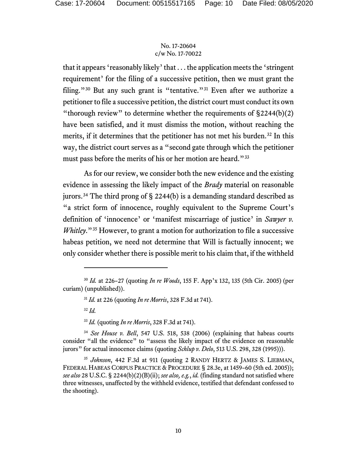that it appears 'reasonably likely' that . . . the application meets the 'stringent requirement' for the filing of a successive petition, then we must grant the filing."<sup>[30](#page-9-0)</sup> But any such grant is "tentative."<sup>[31](#page-9-1)</sup> Even after we authorize a petitioner to file a successive petition, the district court must conduct its own "thorough review" to determine whether the requirements of  $\S 2244(b)(2)$ have been satisfied, and it must dismiss the motion, without reaching the merits, if it determines that the petitioner has not met his burden.<sup>[32](#page-9-2)</sup> In this way, the district court serves as a "second gate through which the petitioner must pass before the merits of his or her motion are heard."[33](#page-9-3)

As for our review, we consider both the new evidence and the existing evidence in assessing the likely impact of the *Brady* material on reasonable jurors.<sup>[34](#page-9-4)</sup> The third prong of  $\S$  2244(b) is a demanding standard described as "a strict form of innocence, roughly equivalent to the Supreme Court's definition of 'innocence' or 'manifest miscarriage of justice' in *Sawyer v. Whitley*."<sup>[35](#page-9-5)</sup> However, to grant a motion for authorization to file a successive habeas petition, we need not determine that Will is factually innocent; we only consider whether there is possible merit to his claim that, if the withheld

<sup>32</sup> *Id.*

<sup>33</sup> *Id.* (quoting *In re Morris*, 328 F.3d at 741).

<span id="page-9-4"></span><span id="page-9-3"></span><span id="page-9-2"></span><sup>34</sup> *See House v. Bell*, 547 U.S. 518, 538 (2006) (explaining that habeas courts consider "all the evidence" to "assess the likely impact of the evidence on reasonable jurors" for actual innocence claims (quoting *Schlup v. Delo*, 513 U.S. 298, 328 (1995))).

<span id="page-9-5"></span><sup>35</sup> *Johnson*, 442 F.3d at 911 (quoting 2 RANDY HERTZ & JAMES S. LIEBMAN, FEDERAL HABEAS CORPUS PRACTICE & PROCEDURE § 28.3e, at 1459-60 (5th ed. 2005)); *see also* 28 U.S.C. § 2244(b)(2)(B)(ii); *see also, e.g.*, *id.* (finding standard not satisfied where three witnesses, unaffected by the withheld evidence, testified that defendant confessed to the shooting).

<span id="page-9-1"></span><span id="page-9-0"></span><sup>30</sup> *Id.* at 226–27 (quoting *In re Woods*, 155 F. App'x 132, 135 (5th Cir. 2005) (per curiam) (unpublished)).

<sup>31</sup> *Id.* at 226 (quoting *In re Morris*, 328 F.3d at 741).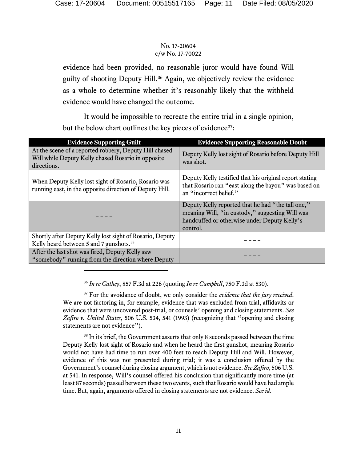evidence had been provided, no reasonable juror would have found Will guilty of shooting Deputy Hill.[36](#page-10-0) Again, we objectively review the evidence as a whole to determine whether it's reasonably likely that the withheld evidence would have changed the outcome.

It would be impossible to recreate the entire trial in a single opinion, but the below chart outlines the key pieces of evidence<sup>37</sup>:

| <b>Evidence Supporting Guilt</b>                                                                                            | <b>Evidence Supporting Reasonable Doubt</b>                                                                                                                      |
|-----------------------------------------------------------------------------------------------------------------------------|------------------------------------------------------------------------------------------------------------------------------------------------------------------|
| At the scene of a reported robbery, Deputy Hill chased<br>Will while Deputy Kelly chased Rosario in opposite<br>directions. | Deputy Kelly lost sight of Rosario before Deputy Hill<br>was shot.                                                                                               |
| When Deputy Kelly lost sight of Rosario, Rosario was<br>running east, in the opposite direction of Deputy Hill.             | Deputy Kelly testified that his original report stating<br>that Rosario ran "east along the bayou" was based on<br>an "incorrect belief."                        |
|                                                                                                                             | Deputy Kelly reported that he had "the tall one,"<br>meaning Will, "in custody," suggesting Will was<br>handcuffed or otherwise under Deputy Kelly's<br>control. |
| Shortly after Deputy Kelly lost sight of Rosario, Deputy<br>Kelly heard between 5 and 7 gunshots. <sup>38</sup>             |                                                                                                                                                                  |
| After the last shot was fired, Deputy Kelly saw<br>"somebody" running from the direction where Deputy                       |                                                                                                                                                                  |

<sup>36</sup> *In re Cathey*, 857 F.3d at 226 (quoting *In re Campbell*, 750 F.3d at 530).

<span id="page-10-1"></span><span id="page-10-0"></span><sup>37</sup> For the avoidance of doubt, we only consider the *evidence that the jury received*. We are not factoring in, for example, evidence that was excluded from trial, affidavits or evidence that were uncovered post-trial, or counsels' opening and closing statements. *See Zafiro v. United States*, 506 U.S. 534, 541 (1993) (recognizing that "opening and closing statements are not evidence").

<span id="page-10-2"></span><sup>38</sup> In its brief, the Government asserts that only 8 seconds passed between the time Deputy Kelly lost sight of Rosario and when he heard the first gunshot, meaning Rosario would not have had time to run over 400 feet to reach Deputy Hill and Will. However, evidence of this was not presented during trial; it was a conclusion offered by the Government's counsel during closing argument, which is not evidence. *See Zafiro*, 506 U.S. at 541. In response, Will's counsel offered his conclusion that significantly more time (at least 87 seconds) passed between these two events,such that Rosario would have had ample time. But, again, arguments offered in closing statements are not evidence. *See id.*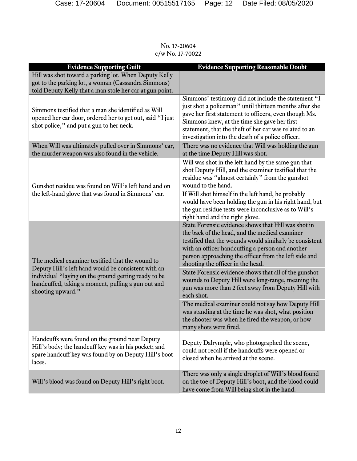**Evidence Supporting Guilt Evidence Supporting Reasonable Doubt** Hill was shot toward a parking lot. When Deputy Kelly got to the parking lot, a woman (Cassandra Simmons) told Deputy Kelly that a man stole her car at gun point. Simmons testified that a man she identified as Will opened her car door, ordered her to get out, said "I just shot police," and put a gun to her neck. Simmons' testimony did not include the statement "I just shot a policeman" until thirteen months after she gave her first statement to officers, even though Ms. Simmons knew, at the time she gave her first statement, that the theft of her car was related to an investigation into the death of a police officer. When Will was ultimately pulled over in Simmons' car, the murder weapon was also found in the vehicle. There was no evidence that Will was holding the gun at the time Deputy Hill was shot. Gunshot residue was found on Will's left hand and on the left-hand glove that was found in Simmons' car. Will was shot in the left hand by the same gun that shot Deputy Hill, and the examiner testified that the residue was "almost certainly" from the gunshot wound to the hand. If Will shot himself in the left hand, he probably would have been holding the gun in his right hand, but the gun residue tests were inconclusive as to Will's right hand and the right glove. The medical examiner testified that the wound to Deputy Hill's left hand would be consistent with an individual "laying on the ground getting ready to be handcuffed, taking a moment, pulling a gun out and shooting upward." State Forensic evidence shows that Hill was shot in the back of the head, and the medical examiner testified that the wounds would similarly be consistent with an officer handcuffing a person and another person approaching the officer from the left side and shooting the officer in the head. State Forensic evidence shows that all of the gunshot wounds to Deputy Hill were long-range, meaning the gun was more than 2 feet away from Deputy Hill with each shot. The medical examiner could not say how Deputy Hill was standing at the time he was shot, what position the shooter was when he fired the weapon, or how many shots were fired. Handcuffs were found on the ground near Deputy Hill's body; the handcuff key was in his pocket; and spare handcuff key was found by on Deputy Hill's boot laces. Deputy Dalrymple, who photographed the scene, could not recall if the handcuffs were opened or closed when he arrived at the scene. Will's blood was found on Deputy Hill's right boot. There was only a single droplet of Will's blood found on the toe of Deputy Hill's boot, and the blood could have come from Will being shot in the hand.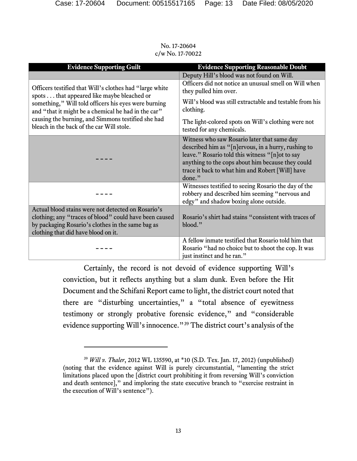| <b>Evidence Supporting Guilt</b>                                                                                                                                                                                                                                                                                         | <b>Evidence Supporting Reasonable Doubt</b>                                                                                                                                                                                                                               |
|--------------------------------------------------------------------------------------------------------------------------------------------------------------------------------------------------------------------------------------------------------------------------------------------------------------------------|---------------------------------------------------------------------------------------------------------------------------------------------------------------------------------------------------------------------------------------------------------------------------|
|                                                                                                                                                                                                                                                                                                                          | Deputy Hill's blood was not found on Will.                                                                                                                                                                                                                                |
| Officers testified that Will's clothes had "large white"<br>spots that appeared like maybe bleached or<br>something," Will told officers his eyes were burning<br>and "that it might be a chemical he had in the car"<br>causing the burning, and Simmons testified she had<br>bleach in the back of the car Will stole. | Officers did not notice an unusual smell on Will when<br>they pulled him over.<br>Will's blood was still extractable and testable from his<br>clothing.                                                                                                                   |
|                                                                                                                                                                                                                                                                                                                          | The light-colored spots on Will's clothing were not<br>tested for any chemicals.                                                                                                                                                                                          |
|                                                                                                                                                                                                                                                                                                                          | Witness who saw Rosario later that same day<br>described him as "[n]ervous, in a hurry, rushing to<br>leave." Rosario told this witness "[n] ot to say<br>anything to the cops about him because they could<br>trace it back to what him and Robert [Will] have<br>done." |
|                                                                                                                                                                                                                                                                                                                          | Witnesses testified to seeing Rosario the day of the<br>robbery and described him seeming "nervous and<br>edgy" and shadow boxing alone outside.                                                                                                                          |
| Actual blood stains were not detected on Rosario's                                                                                                                                                                                                                                                                       |                                                                                                                                                                                                                                                                           |
| clothing; any "traces of blood" could have been caused                                                                                                                                                                                                                                                                   | Rosario's shirt had stains "consistent with traces of                                                                                                                                                                                                                     |
| by packaging Rosario's clothes in the same bag as                                                                                                                                                                                                                                                                        | blood."                                                                                                                                                                                                                                                                   |
| clothing that did have blood on it.                                                                                                                                                                                                                                                                                      |                                                                                                                                                                                                                                                                           |
|                                                                                                                                                                                                                                                                                                                          | A fellow inmate testified that Rosario told him that<br>Rosario "had no choice but to shoot the cop. It was<br>just instinct and he ran."                                                                                                                                 |

No. 17-20604 c/w No. 17-70022

Certainly, the record is not devoid of evidence supporting Will's conviction, but it reflects anything but a slam dunk. Even before the Hit Document and the Schifani Report came to light, the district court noted that there are "disturbing uncertainties," a "total absence of eyewitness testimony or strongly probative forensic evidence," and "considerable evidence supporting Will's innocence."[39](#page-12-0) The district court's analysis of the

<span id="page-12-0"></span><sup>39</sup> *Will v. Thaler*, 2012 WL 135590, at \*10 (S.D. Tex. Jan. 17, 2012) (unpublished) (noting that the evidence against Will is purely circumstantial, "lamenting the strict limitations placed upon the [district court prohibiting it from reversing Will's conviction and death sentence]," and imploring the state executive branch to "exercise restraint in the execution of Will's sentence").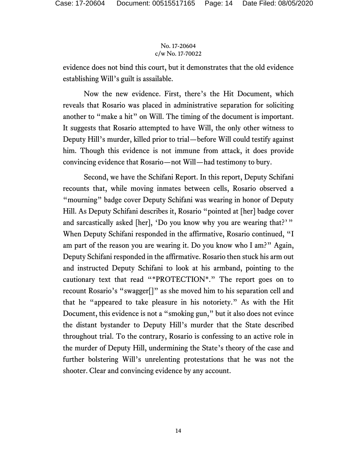evidence does not bind this court, but it demonstrates that the old evidence establishing Will's guilt is assailable.

Now the new evidence. First, there's the Hit Document, which reveals that Rosario was placed in administrative separation for soliciting another to "make a hit" on Will. The timing of the document is important. It suggests that Rosario attempted to have Will, the only other witness to Deputy Hill's murder, killed prior to trial—before Will could testify against him. Though this evidence is not immune from attack, it does provide convincing evidence that Rosario—not Will—had testimony to bury.

Second, we have the Schifani Report. In this report, Deputy Schifani recounts that, while moving inmates between cells, Rosario observed a "mourning" badge cover Deputy Schifani was wearing in honor of Deputy Hill. As Deputy Schifani describes it, Rosario "pointed at [her] badge cover and sarcastically asked [her], 'Do you know why you are wearing that?'" When Deputy Schifani responded in the affirmative, Rosario continued, "I am part of the reason you are wearing it. Do you know who I am?" Again, Deputy Schifani responded in the affirmative. Rosario then stuck his arm out and instructed Deputy Schifani to look at his armband, pointing to the cautionary text that read "\*PROTECTION\*." The report goes on to recount Rosario's "swagger[]" as she moved him to his separation cell and that he "appeared to take pleasure in his notoriety." As with the Hit Document, this evidence is not a "smoking gun," but it also does not evince the distant bystander to Deputy Hill's murder that the State described throughout trial. To the contrary, Rosario is confessing to an active role in the murder of Deputy Hill, undermining the State's theory of the case and further bolstering Will's unrelenting protestations that he was not the shooter. Clear and convincing evidence by any account.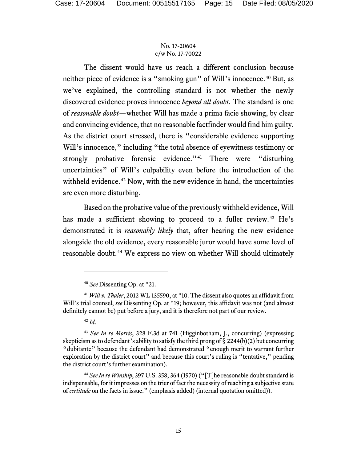The dissent would have us reach a different conclusion because neither piece of evidence is a "smoking gun" of Will's innocence.<sup>[40](#page-14-0)</sup> But, as we've explained, the controlling standard is not whether the newly discovered evidence proves innocence *beyond all doubt*. The standard is one of *reasonable doubt*—whether Will has made a prima facie showing, by clear and convincing evidence, that no reasonable factfinder would find him guilty. As the district court stressed, there is "considerable evidence supporting Will's innocence," including "the total absence of eyewitness testimony or strongly probative forensic evidence."<sup>[41](#page-14-1)</sup> There were "disturbing uncertainties" of Will's culpability even before the introduction of the withheld evidence.<sup>[42](#page-14-2)</sup> Now, with the new evidence in hand, the uncertainties are even more disturbing.

Based on the probative value of the previously withheld evidence, Will has made a sufficient showing to proceed to a fuller review.<sup>[43](#page-14-3)</sup> He's demonstrated it is *reasonably likely* that, after hearing the new evidence alongside the old evidence, every reasonable juror would have some level of reasonable doubt.<sup>[44](#page-14-4)</sup> We express no view on whether Will should ultimately

<sup>40</sup> *See* Dissenting Op. at \*21.

<span id="page-14-1"></span><span id="page-14-0"></span><sup>41</sup> *Will v. Thaler*, 2012 WL 135590, at \*10. The dissent also quotes an affidavit from Will's trial counsel, *see* Dissenting Op. at \*19; however, this affidavit was not (and almost definitely cannot be) put before a jury, and it is therefore not part of our review.

<sup>42</sup> *Id*.

<span id="page-14-3"></span><span id="page-14-2"></span><sup>43</sup> *See In re Morris*, 328 F.3d at 741 (Higginbotham, J., concurring) (expressing skepticism as to defendant's ability to satisfy the third prong of § 2244(b)(2) but concurring "dubitante" because the defendant had demonstrated "enough merit to warrant further exploration by the district court" and because this court's ruling is "tentative," pending the district court's further examination).

<span id="page-14-4"></span><sup>&</sup>lt;sup>44</sup> See In re Winship, 397 U.S. 358, 364 (1970) ("[T]he reasonable doubt standard is indispensable, for it impresses on the trier of fact the necessity of reaching a subjective state of *certitude* on the facts in issue." (emphasis added) (internal quotation omitted)).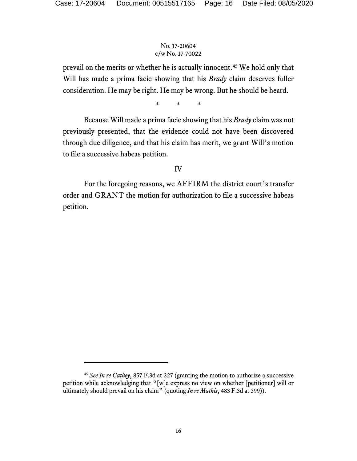prevail on the merits or whether he is actually innocent.[45](#page-15-0) We hold only that Will has made a prima facie showing that his *Brady* claim deserves fuller consideration. He may be right. He may be wrong. But he should be heard.

\* \* \*

Because Will made a prima facie showing that his *Brady* claim was not previously presented, that the evidence could not have been discovered through due diligence, and that his claim has merit, we grant Will's motion to file a successive habeas petition.

# IV

For the foregoing reasons, we AFFIRM the district court's transfer order and GRANT the motion for authorization to file a successive habeas petition.

<span id="page-15-0"></span><sup>45</sup> *See In re Cathey*, 857 F.3d at 227 (granting the motion to authorize a successive petition while acknowledging that "[w]e express no view on whether [petitioner] will or ultimately should prevail on his claim" (quoting *In re Mathis*, 483 F.3d at 399)).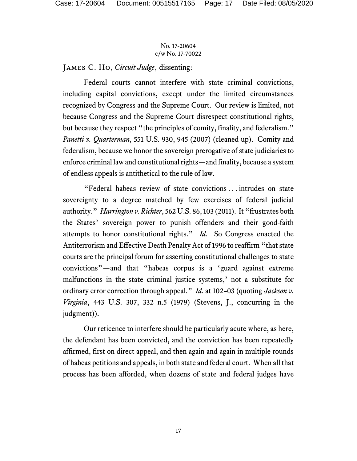James C. Ho, *Circuit Judge*, dissenting:

Federal courts cannot interfere with state criminal convictions, including capital convictions, except under the limited circumstances recognized by Congress and the Supreme Court. Our review is limited, not because Congress and the Supreme Court disrespect constitutional rights, but because they respect "the principles of comity, finality, and federalism." *Panetti v. Quarterman*, 551 U.S. 930, 945 (2007) (cleaned up). Comity and federalism, because we honor the sovereign prerogative of state judiciaries to enforce criminal law and constitutional rights—and finality, because a system of endless appeals is antithetical to the rule of law.

"Federal habeas review of state convictions . . . intrudes on state sovereignty to a degree matched by few exercises of federal judicial authority." *Harrington v. Richter*, 562 U.S. 86, 103 (2011). It "frustrates both the States' sovereign power to punish offenders and their good-faith attempts to honor constitutional rights." *Id*. So Congress enacted the Antiterrorism and Effective Death Penalty Act of 1996 to reaffirm "that state courts are the principal forum for asserting constitutional challenges to state convictions"—and that "habeas corpus is a 'guard against extreme malfunctions in the state criminal justice systems,' not a substitute for ordinary error correction through appeal." *Id*. at 102–03 (quoting *Jackson v. Virginia*, 443 U.S. 307, 332 n.5 (1979) (Stevens, J., concurring in the judgment)).

Our reticence to interfere should be particularly acute where, as here, the defendant has been convicted, and the conviction has been repeatedly affirmed, first on direct appeal, and then again and again in multiple rounds of habeas petitions and appeals, in both state and federal court. When all that process has been afforded, when dozens of state and federal judges have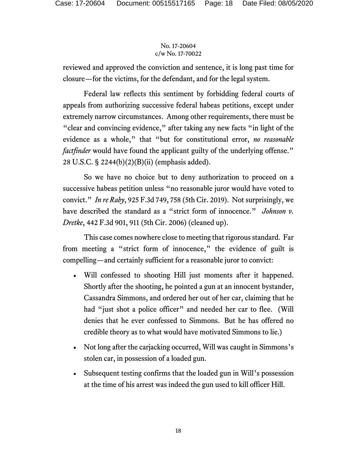reviewed and approved the conviction and sentence, it is long past time for closure—for the victims, for the defendant, and for the legal system.

Federal law reflects this sentiment by forbidding federal courts of appeals from authorizing successive federal habeas petitions, except under extremely narrow circumstances. Among other requirements, there must be "clear and convincing evidence," after taking any new facts "in light of the evidence as a whole," that "but for constitutional error, *no reasonable factfinder* would have found the applicant guilty of the underlying offense." 28 U.S.C. § 2244(b)(2)(B)(ii) (emphasis added).

So we have no choice but to deny authorization to proceed on a successive habeas petition unless "no reasonable juror would have voted to convict." *In re Raby*, 925 F.3d 749, 758 (5th Cir. 2019). Not surprisingly, we have described the standard as a "strict form of innocence." *Johnson v. Dretke*, 442 F.3d 901, 911 (5th Cir. 2006) (cleaned up).

This case comes nowhere close to meeting that rigorous standard. Far from meeting a "strict form of innocence," the evidence of guilt is compelling—and certainly sufficient for a reasonable juror to convict:

- Will confessed to shooting Hill just moments after it happened. Shortly after the shooting, he pointed a gun at an innocent bystander, Cassandra Simmons, and ordered her out of her car, claiming that he had "just shot a police officer" and needed her car to flee. (Will denies that he ever confessed to Simmons. But he has offered no credible theory as to what would have motivated Simmons to lie.)
- Not long after the carjacking occurred, Will was caught in Simmons's stolen car, in possession of a loaded gun.
- Subsequent testing confirms that the loaded gun in Will's possession at the time of his arrest was indeed the gun used to kill officer Hill.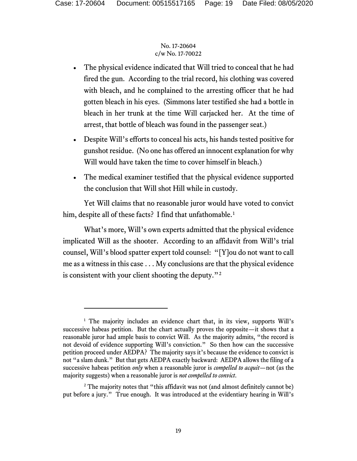- The physical evidence indicated that Will tried to conceal that he had fired the gun. According to the trial record, his clothing was covered with bleach, and he complained to the arresting officer that he had gotten bleach in his eyes. (Simmons later testified she had a bottle in bleach in her trunk at the time Will carjacked her. At the time of arrest, that bottle of bleach was found in the passenger seat.)
- Despite Will's efforts to conceal his acts, his hands tested positive for gunshot residue. (No one has offered an innocent explanation for why Will would have taken the time to cover himself in bleach.)
- The medical examiner testified that the physical evidence supported the conclusion that Will shot Hill while in custody.

Yet Will claims that no reasonable juror would have voted to convict him, despite all of these facts? I find that unfathomable.<sup>[1](#page-18-0)</sup>

What's more, Will's own experts admitted that the physical evidence implicated Will as the shooter. According to an affidavit from Will's trial counsel, Will's blood spatter expert told counsel: "[Y]ou do not want to call me as a witness in this case . . . My conclusions are that the physical evidence is consistent with your client shooting the deputy."[2](#page-18-1)

<span id="page-18-0"></span><sup>&</sup>lt;sup>1</sup> The majority includes an evidence chart that, in its view, supports Will's successive habeas petition. But the chart actually proves the opposite—it shows that a reasonable juror had ample basis to convict Will. As the majority admits, "the record is not devoid of evidence supporting Will's conviction." So then how can the successive petition proceed under AEDPA? The majority says it's because the evidence to convict is not "a slam dunk." But that gets AEDPA exactly backward: AEDPA allows the filing of a successive habeas petition *only* when a reasonable juror is *compelled to acquit*—not (as the majority suggests) when a reasonable juror is *not compelled to convict*.

<span id="page-18-1"></span><sup>&</sup>lt;sup>2</sup> The majority notes that "this affidavit was not (and almost definitely cannot be) put before a jury." True enough. It was introduced at the evidentiary hearing in Will's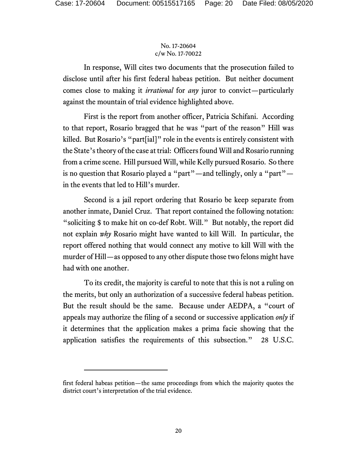In response, Will cites two documents that the prosecution failed to disclose until after his first federal habeas petition. But neither document comes close to making it *irrational* for *any* juror to convict—particularly against the mountain of trial evidence highlighted above.

First is the report from another officer, Patricia Schifani. According to that report, Rosario bragged that he was "part of the reason" Hill was killed. But Rosario's "part[ial]" role in the events is entirely consistent with the State's theory of the case at trial: Officers found Will and Rosario running from a crime scene. Hill pursued Will, while Kelly pursued Rosario. So there is no question that Rosario played a "part"—and tellingly, only a "part" in the events that led to Hill's murder.

Second is a jail report ordering that Rosario be keep separate from another inmate, Daniel Cruz. That report contained the following notation: "soliciting \$ to make hit on co-def Robt. Will." But notably, the report did not explain *why* Rosario might have wanted to kill Will. In particular, the report offered nothing that would connect any motive to kill Will with the murder of Hill—as opposed to any other dispute those two felons might have had with one another.

To its credit, the majority is careful to note that this is not a ruling on the merits, but only an authorization of a successive federal habeas petition. But the result should be the same. Because under AEDPA, a "court of appeals may authorize the filing of a second or successive application *only* if it determines that the application makes a prima facie showing that the application satisfies the requirements of this subsection." 28 U.S.C.

first federal habeas petition—the same proceedings from which the majority quotes the district court's interpretation of the trial evidence.